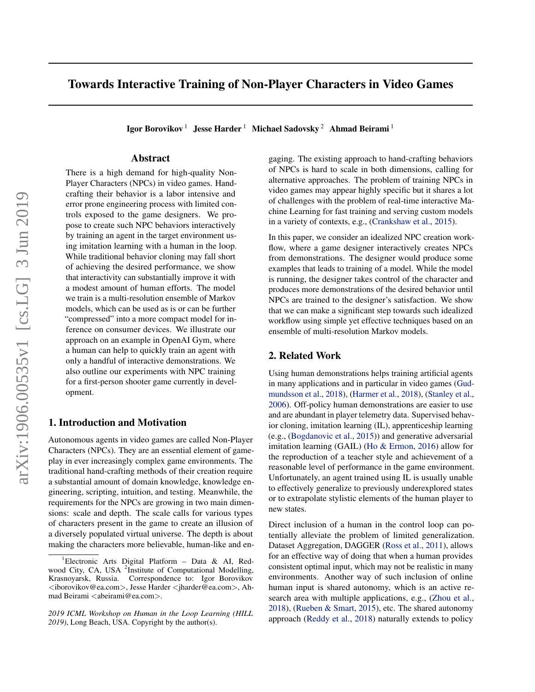# Towards Interactive Training of Non-Player Characters in Video Games

Igor Borovikov<sup>1</sup> Jesse Harder<sup>1</sup> Michael Sadovsky<sup>2</sup> Ahmad Beirami<sup>1</sup>

## Abstract

There is a high demand for high-quality Non-Player Characters (NPCs) in video games. Handcrafting their behavior is a labor intensive and error prone engineering process with limited controls exposed to the game designers. We propose to create such NPC behaviors interactively by training an agent in the target environment using imitation learning with a human in the loop. While traditional behavior cloning may fall short of achieving the desired performance, we show that interactivity can substantially improve it with a modest amount of human efforts. The model we train is a multi-resolution ensemble of Markov models, which can be used as is or can be further "compressed" into a more compact model for inference on consumer devices. We illustrate our approach on an example in OpenAI Gym, where a human can help to quickly train an agent with only a handful of interactive demonstrations. We also outline our experiments with NPC training for a first-person shooter game currently in development.

## 1. Introduction and Motivation

Autonomous agents in video games are called Non-Player Characters (NPCs). They are an essential element of gameplay in ever increasingly complex game environments. The traditional hand-crafting methods of their creation require a substantial amount of domain knowledge, knowledge engineering, scripting, intuition, and testing. Meanwhile, the requirements for the NPCs are growing in two main dimensions: scale and depth. The scale calls for various types of characters present in the game to create an illusion of a diversely populated virtual universe. The depth is about making the characters more believable, human-like and engaging. The existing approach to hand-crafting behaviors of NPCs is hard to scale in both dimensions, calling for alternative approaches. The problem of training NPCs in video games may appear highly specific but it shares a lot of challenges with the problem of real-time interactive Machine Learning for fast training and serving custom models in a variety of contexts, e.g., [\(Crankshaw et al.,](#page-4-0) [2015\)](#page-4-0).

In this paper, we consider an idealized NPC creation workflow, where a game designer interactively creates NPCs from demonstrations. The designer would produce some examples that leads to training of a model. While the model is running, the designer takes control of the character and produces more demonstrations of the desired behavior until NPCs are trained to the designer's satisfaction. We show that we can make a significant step towards such idealized workflow using simple yet effective techniques based on an ensemble of multi-resolution Markov models.

## 2. Related Work

Using human demonstrations helps training artificial agents in many applications and in particular in video games [\(Gud](#page-4-0)[mundsson et al.,](#page-4-0) [2018\)](#page-4-0), [\(Harmer et al.,](#page-5-0) [2018\)](#page-5-0), [\(Stanley et al.,](#page-5-0) [2006\)](#page-5-0). Off-policy human demonstrations are easier to use and are abundant in player telemetry data. Supervised behavior cloning, imitation learning (IL), apprenticeship learning (e.g., [\(Bogdanovic et al.,](#page-4-0) [2015\)](#page-4-0)) and generative adversarial imitation learning (GAIL) [\(Ho & Ermon,](#page-5-0) [2016\)](#page-5-0) allow for the reproduction of a teacher style and achievement of a reasonable level of performance in the game environment. Unfortunately, an agent trained using IL is usually unable to effectively generalize to previously underexplored states or to extrapolate stylistic elements of the human player to new states.

Direct inclusion of a human in the control loop can potentially alleviate the problem of limited generalization. Dataset Aggregation, DAGGER [\(Ross et al.,](#page-5-0) [2011\)](#page-5-0), allows for an effective way of doing that when a human provides consistent optimal input, which may not be realistic in many environments. Another way of such inclusion of online human input is shared autonomy, which is an active research area with multiple applications, e.g., [\(Zhou et al.,](#page-5-0) [2018\)](#page-5-0), [\(Rueben & Smart,](#page-5-0) [2015\)](#page-5-0), etc. The shared autonomy approach [\(Reddy et al.,](#page-5-0) [2018\)](#page-5-0) naturally extends to policy

<sup>&</sup>lt;sup>1</sup>Electronic Arts Digital Platform – Data & AI, Redwood City, CA, USA <sup>2</sup>Institute of Computational Modelling, Krasnoyarsk, Russia. Correspondence to: Igor Borovikov <iborovikov@ea.com>, Jesse Harder <jharder@ea.com>, Ahmad Beirami <abeirami@ea.com>.

*<sup>2019</sup> ICML Workshop on Human in the Loop Learning (HILL 2019)*, Long Beach, USA. Copyright by the author(s).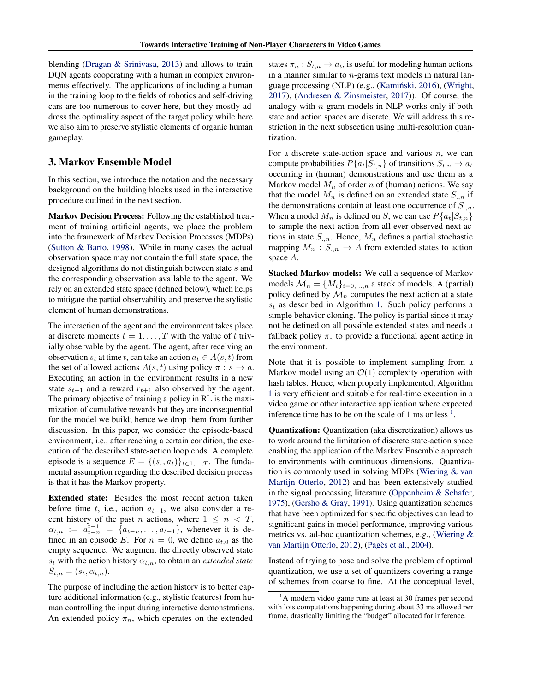blending [\(Dragan & Srinivasa,](#page-4-0) [2013\)](#page-4-0) and allows to train DQN agents cooperating with a human in complex environments effectively. The applications of including a human in the training loop to the fields of robotics and self-driving cars are too numerous to cover here, but they mostly address the optimality aspect of the target policy while here we also aim to preserve stylistic elements of organic human gameplay.

#### 3. Markov Ensemble Model

In this section, we introduce the notation and the necessary background on the building blocks used in the interactive procedure outlined in the next section.

Markov Decision Process: Following the established treatment of training artificial agents, we place the problem into the framework of Markov Decision Processes (MDPs) [\(Sutton & Barto,](#page-5-0) [1998\)](#page-5-0). While in many cases the actual observation space may not contain the full state space, the designed algorithms do not distinguish between state s and the corresponding observation available to the agent. We rely on an extended state space (defined below), which helps to mitigate the partial observability and preserve the stylistic element of human demonstrations.

The interaction of the agent and the environment takes place at discrete moments  $t = 1, \ldots, T$  with the value of t trivially observable by the agent. The agent, after receiving an observation  $s_t$  at time t, can take an action  $a_t \in A(s, t)$  from the set of allowed actions  $A(s, t)$  using policy  $\pi : s \to a$ . Executing an action in the environment results in a new state  $s_{t+1}$  and a reward  $r_{t+1}$  also observed by the agent. The primary objective of training a policy in RL is the maximization of cumulative rewards but they are inconsequential for the model we build; hence we drop them from further discussion. In this paper, we consider the episode-based environment, i.e., after reaching a certain condition, the execution of the described state-action loop ends. A complete episode is a sequence  $E = \{(s_t, a_t)\}_{t \in 1, ..., T}$ . The fundamental assumption regarding the described decision process is that it has the Markov property.

Extended state: Besides the most recent action taken before time t, i.e., action  $a_{t-1}$ , we also consider a recent history of the past n actions, where  $1 \leq n \leq T$ ,  $\alpha_{t,n} := a_{t-n}^{t-1} = \{a_{t-n}, \ldots, a_{t-1}\},\$  whenever it is defined in an episode E. For  $n = 0$ , we define  $a_{t,0}$  as the empty sequence. We augment the directly observed state  $s_t$  with the action history  $\alpha_{t,n}$ , to obtain an *extended state*  $S_{t,n} = (s_t, \alpha_{t,n}).$ 

The purpose of including the action history is to better capture additional information (e.g., stylistic features) from human controlling the input during interactive demonstrations. An extended policy  $\pi_n$ , which operates on the extended

states  $\pi_n : S_{t,n} \to a_t$ , is useful for modeling human actions in a manner similar to  $n$ -grams text models in natural lan-guage processing (NLP) (e.g., (Kamiński, [2016\)](#page-5-0), [\(Wright,](#page-5-0) [2017\)](#page-5-0), [\(Andresen & Zinsmeister,](#page-4-0) [2017\)](#page-4-0)). Of course, the analogy with  $n$ -gram models in NLP works only if both state and action spaces are discrete. We will address this restriction in the next subsection using multi-resolution quantization.

For a discrete state-action space and various  $n$ , we can compute probabilities  $P\{a_t|S_{t,n}\}\$  of transitions  $S_{t,n} \to a_t$ occurring in (human) demonstrations and use them as a Markov model  $M_n$  of order n of (human) actions. We say that the model  $M_n$  is defined on an extended state  $S_{n,n}$  if the demonstrations contain at least one occurrence of  $S_{n,n}$ . When a model  $M_n$  is defined on S, we can use  $P\{a_t|S_{t,n}\}\$ to sample the next action from all ever observed next actions in state  $S_{n,n}$ . Hence,  $M_n$  defines a partial stochastic mapping  $M_n : S_{n,n} \to A$  from extended states to action space A.

Stacked Markov models: We call a sequence of Markov models  $\mathcal{M}_n = \{M_i\}_{i=0,\dots,n}$  a stack of models. A (partial) policy defined by  $\mathcal{M}_n$  computes the next action at a state  $s_t$  as described in Algorithm [1.](#page-2-0) Such policy performs a simple behavior cloning. The policy is partial since it may not be defined on all possible extended states and needs a fallback policy  $\pi_*$  to provide a functional agent acting in the environment.

Note that it is possible to implement sampling from a Markov model using an  $\mathcal{O}(1)$  complexity operation with hash tables. Hence, when properly implemented, Algorithm [1](#page-2-0) is very efficient and suitable for real-time execution in a video game or other interactive application where expected inference time has to be on the scale of 1 ms or less  $<sup>1</sup>$ .</sup>

Quantization: Quantization (aka discretization) allows us to work around the limitation of discrete state-action space enabling the application of the Markov Ensemble approach to environments with continuous dimensions. Quantization is commonly used in solving MDPs [\(Wiering & van](#page-5-0) [Martijn Otterlo,](#page-5-0) [2012\)](#page-5-0) and has been extensively studied in the signal processing literature [\(Oppenheim & Schafer,](#page-5-0) [1975\)](#page-5-0), [\(Gersho & Gray,](#page-4-0) [1991\)](#page-4-0). Using quantization schemes that have been optimized for specific objectives can lead to significant gains in model performance, improving various metrics vs. ad-hoc quantization schemes, e.g., [\(Wiering &](#page-5-0) [van Martijn Otterlo,](#page-5-0) [2012\)](#page-5-0), (Pagès et al., [2004\)](#page-5-0).

Instead of trying to pose and solve the problem of optimal quantization, we use a set of quantizers covering a range of schemes from coarse to fine. At the conceptual level,

 $<sup>1</sup>A$  modern video game runs at least at 30 frames per second</sup> with lots computations happening during about 33 ms allowed per frame, drastically limiting the "budget" allocated for inference.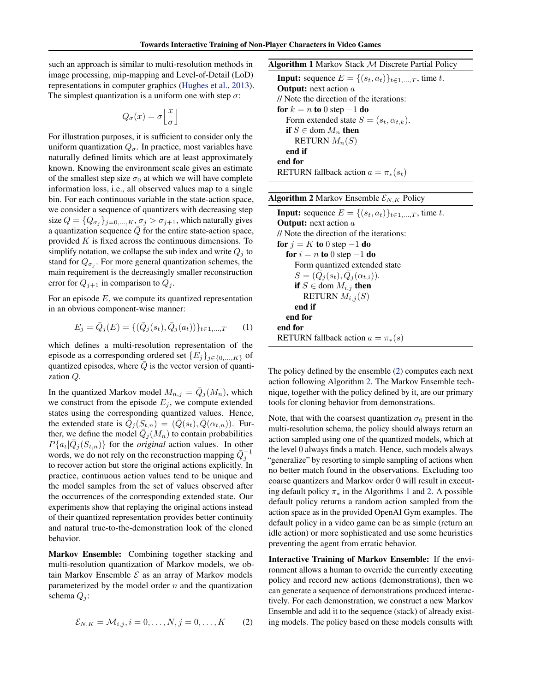<span id="page-2-0"></span>such an approach is similar to multi-resolution methods in image processing, mip-mapping and Level-of-Detail (LoD) representations in computer graphics [\(Hughes et al.,](#page-5-0) [2013\)](#page-5-0). The simplest quantization is a uniform one with step  $\sigma$ :

$$
Q_{\sigma}(x)=\sigma\Big\lfloor \frac{x}{\sigma}\Big\rfloor
$$

For illustration purposes, it is sufficient to consider only the uniform quantization  $Q_{\sigma}$ . In practice, most variables have naturally defined limits which are at least approximately known. Knowing the environment scale gives an estimate of the smallest step size  $\sigma_0$  at which we will have complete information loss, i.e., all observed values map to a single bin. For each continuous variable in the state-action space, we consider a sequence of quantizers with decreasing step size  $Q = \{Q_{\sigma_j}\}_{j=0,\dots,K}$ ,  $\sigma_j > \sigma_{j+1}$ , which naturally gives a quantization sequence  $\overline{Q}$  for the entire state-action space, provided  $K$  is fixed across the continuous dimensions. To simplify notation, we collapse the sub index and write  $Q_i$  to stand for  $Q_{\sigma_j}$ . For more general quantization schemes, the main requirement is the decreasingly smaller reconstruction error for  $Q_{j+1}$  in comparison to  $Q_j$ .

For an episode  $E$ , we compute its quantized representation in an obvious component-wise manner:

$$
E_j = \bar{Q}_j(E) = \{ (\bar{Q}_j(s_t), \bar{Q}_j(a_t)) \}_{t \in 1, ..., T} \tag{1}
$$

which defines a multi-resolution representation of the episode as a corresponding ordered set  ${E_j}_{j \in \{0,\ldots,K\}}$  of quantized episodes, where  $\overline{Q}$  is the vector version of quantization Q.

In the quantized Markov model  $M_{n,j} = \overline{Q}_j(M_n)$ , which we construct from the episode  $E_i$ , we compute extended states using the corresponding quantized values. Hence, the extended state is  $\overline{\hat{Q}}_j(S_{t,n}) = (\overline{Q}(s_t), \overline{Q}(\alpha_{t,n}))$ . Further, we define the model  $\overline{Q}_j(M_n)$  to contain probabilities  $P\{a_t | \bar{Q}_j(S_{t,n})\}$  for the *original* action values. In other words, we do not rely on the reconstruction mapping  $\overline{Q}_j^{-1}$ to recover action but store the original actions explicitly. In practice, continuous action values tend to be unique and the model samples from the set of values observed after the occurrences of the corresponding extended state. Our experiments show that replaying the original actions instead of their quantized representation provides better continuity and natural true-to-the-demonstration look of the cloned behavior.

Markov Ensemble: Combining together stacking and multi-resolution quantization of Markov models, we obtain Markov Ensemble  $\mathcal E$  as an array of Markov models parameterized by the model order  $n$  and the quantization schema  $Q_i$ :

$$
\mathcal{E}_{N,K} = \mathcal{M}_{i,j}, i = 0, ..., N, j = 0, ..., K
$$
 (2)

Algorithm 1 Markov Stack M Discrete Partial Policy

**Input:** sequence  $E = \{(s_t, a_t)\}_{t \in 1,\dots,T}$ , time t. **Output:** next action  $a$ // Note the direction of the iterations: for  $k = n$  to 0 step  $-1$  do Form extended state  $S = (s_t, \alpha_{t,k}).$ if  $S \in$  dom  $M_n$  then RETURN  $M_n(S)$ end if end for RETURN fallback action  $a = \pi_*(s_t)$ 

The policy defined by the ensemble (2) computes each next action following Algorithm 2. The Markov Ensemble technique, together with the policy defined by it, are our primary tools for cloning behavior from demonstrations.

Note, that with the coarsest quantization  $\sigma_0$  present in the multi-resolution schema, the policy should always return an action sampled using one of the quantized models, which at the level 0 always finds a match. Hence, such models always "generalize" by resorting to simple sampling of actions when no better match found in the observations. Excluding too coarse quantizers and Markov order 0 will result in executing default policy  $\pi_*$  in the Algorithms 1 and 2. A possible default policy returns a random action sampled from the action space as in the provided OpenAI Gym examples. The default policy in a video game can be as simple (return an idle action) or more sophisticated and use some heuristics preventing the agent from erratic behavior.

Interactive Training of Markov Ensemble: If the environment allows a human to override the currently executing policy and record new actions (demonstrations), then we can generate a sequence of demonstrations produced interactively. For each demonstration, we construct a new Markov Ensemble and add it to the sequence (stack) of already existing models. The policy based on these models consults with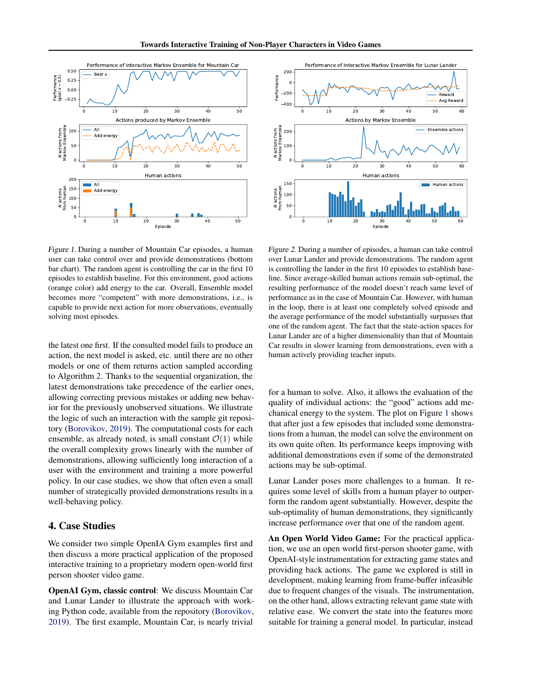

Figure 1. During a number of Mountain Car episodes, a human user can take control over and provide demonstrations (bottom bar chart). The random agent is controlling the car in the first 10 episodes to establish baseline. For this environment, good actions (orange color) add energy to the car. Overall, Ensemble model becomes more "competent" with more demonstrations, i.e., is capable to provide next action for more observations, eventually solving most episodes.

the latest one first. If the consulted model fails to produce an action, the next model is asked, etc. until there are no other models or one of them returns action sampled according to Algorithm [2.](#page-2-0) Thanks to the sequential organization, the latest demonstrations take precedence of the earlier ones, allowing correcting previous mistakes or adding new behavior for the previously unobserved situations. We illustrate the logic of such an interaction with the sample git repository [\(Borovikov,](#page-4-0) [2019\)](#page-4-0). The computational costs for each ensemble, as already noted, is small constant  $\mathcal{O}(1)$  while the overall complexity grows linearly with the number of demonstrations, allowing sufficiently long interaction of a user with the environment and training a more powerful policy. In our case studies, we show that often even a small number of strategically provided demonstrations results in a well-behaving policy.

### 4. Case Studies

We consider two simple OpenIA Gym examples first and then discuss a more practical application of the proposed interactive training to a proprietary modern open-world first person shooter video game.

OpenAI Gym, classic control: We discuss Mountain Car and Lunar Lander to illustrate the approach with working Python code, available from the repository [\(Borovikov,](#page-4-0) [2019\)](#page-4-0). The first example, Mountain Car, is nearly trivial



Figure 2. During a number of episodes, a human can take control over Lunar Lander and provide demonstrations. The random agent is controlling the lander in the first 10 episodes to establish baseline. Since average-skilled human actions remain sub-optimal, the resulting performance of the model doesn't reach same level of performance as in the case of Mountain Car. However, with human in the loop, there is at least one completely solved episode and the average performance of the model substantially surpasses that one of the random agent. The fact that the state-action spaces for Lunar Lander are of a higher dimensionality than that of Mountain Car results in slower learning from demonstrations, even with a human actively providing teacher inputs.

for a human to solve. Also, it allows the evaluation of the quality of individual actions: the "good" actions add mechanical energy to the system. The plot on Figure 1 shows that after just a few episodes that included some demonstrations from a human, the model can solve the environment on its own quite often. Its performance keeps improving with additional demonstrations even if some of the demonstrated actions may be sub-optimal.

Lunar Lander poses more challenges to a human. It requires some level of skills from a human player to outperform the random agent substantially. However, despite the sub-optimality of human demonstrations, they significantly increase performance over that one of the random agent.

An Open World Video Game: For the practical application, we use an open world first-person shooter game, with OpenAI-style instrumentation for extracting game states and providing back actions. The game we explored is still in development, making learning from frame-buffer infeasible due to frequent changes of the visuals. The instrumentation, on the other hand, allows extracting relevant game state with relative ease. We convert the state into the features more suitable for training a general model. In particular, instead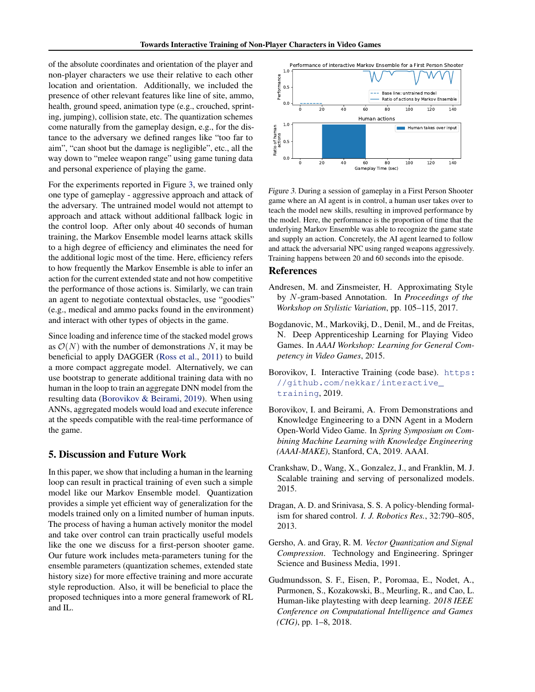<span id="page-4-0"></span>of the absolute coordinates and orientation of the player and non-player characters we use their relative to each other location and orientation. Additionally, we included the presence of other relevant features like line of site, ammo, health, ground speed, animation type (e.g., crouched, sprinting, jumping), collision state, etc. The quantization schemes come naturally from the gameplay design, e.g., for the distance to the adversary we defined ranges like "too far to aim", "can shoot but the damage is negligible", etc., all the way down to "melee weapon range" using game tuning data and personal experience of playing the game.

For the experiments reported in Figure 3, we trained only one type of gameplay - aggressive approach and attack of the adversary. The untrained model would not attempt to approach and attack without additional fallback logic in the control loop. After only about 40 seconds of human training, the Markov Ensemble model learns attack skills to a high degree of efficiency and eliminates the need for the additional logic most of the time. Here, efficiency refers to how frequently the Markov Ensemble is able to infer an action for the current extended state and not how competitive the performance of those actions is. Similarly, we can train an agent to negotiate contextual obstacles, use "goodies" (e.g., medical and ammo packs found in the environment) and interact with other types of objects in the game.

Since loading and inference time of the stacked model grows as  $\mathcal{O}(N)$  with the number of demonstrations N, it may be beneficial to apply DAGGER [\(Ross et al.,](#page-5-0) [2011\)](#page-5-0) to build a more compact aggregate model. Alternatively, we can use bootstrap to generate additional training data with no human in the loop to train an aggregate DNN model from the resulting data (Borovikov & Beirami, 2019). When using ANNs, aggregated models would load and execute inference at the speeds compatible with the real-time performance of the game.

#### 5. Discussion and Future Work

In this paper, we show that including a human in the learning loop can result in practical training of even such a simple model like our Markov Ensemble model. Quantization provides a simple yet efficient way of generalization for the models trained only on a limited number of human inputs. The process of having a human actively monitor the model and take over control can train practically useful models like the one we discuss for a first-person shooter game. Our future work includes meta-parameters tuning for the ensemble parameters (quantization schemes, extended state history size) for more effective training and more accurate style reproduction. Also, it will be beneficial to place the proposed techniques into a more general framework of RL and IL.



Figure 3. During a session of gameplay in a First Person Shooter game where an AI agent is in control, a human user takes over to teach the model new skills, resulting in improved performance by the model. Here, the performance is the proportion of time that the underlying Markov Ensemble was able to recognize the game state and supply an action. Concretely, the AI agent learned to follow and attack the adversarial NPC using ranged weapons aggressively. Training happens between 20 and 60 seconds into the episode.

#### References

- Andresen, M. and Zinsmeister, H. Approximating Style by N-gram-based Annotation. In *Proceedings of the Workshop on Stylistic Variation*, pp. 105–115, 2017.
- Bogdanovic, M., Markovikj, D., Denil, M., and de Freitas, N. Deep Apprenticeship Learning for Playing Video Games. In *AAAI Workshop: Learning for General Competency in Video Games*, 2015.
- Borovikov, I. Interactive Training (code base). [https:](https://github.com/nekkar/interactive_training) [//github.com/nekkar/interactive\\_](https://github.com/nekkar/interactive_training) [training](https://github.com/nekkar/interactive_training), 2019.
- Borovikov, I. and Beirami, A. From Demonstrations and Knowledge Engineering to a DNN Agent in a Modern Open-World Video Game. In *Spring Symposium on Combining Machine Learning with Knowledge Engineering (AAAI-MAKE)*, Stanford, CA, 2019. AAAI.
- Crankshaw, D., Wang, X., Gonzalez, J., and Franklin, M. J. Scalable training and serving of personalized models. 2015.
- Dragan, A. D. and Srinivasa, S. S. A policy-blending formalism for shared control. *I. J. Robotics Res.*, 32:790–805, 2013.
- Gersho, A. and Gray, R. M. *Vector Quantization and Signal Compression*. Technology and Engineering. Springer Science and Business Media, 1991.
- Gudmundsson, S. F., Eisen, P., Poromaa, E., Nodet, A., Purmonen, S., Kozakowski, B., Meurling, R., and Cao, L. Human-like playtesting with deep learning. *2018 IEEE Conference on Computational Intelligence and Games (CIG)*, pp. 1–8, 2018.